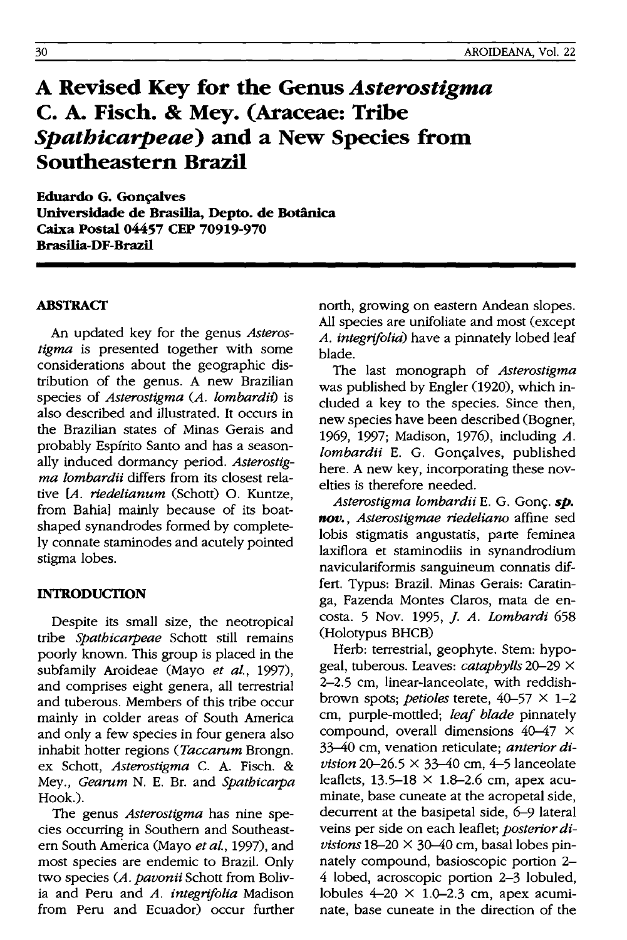# **A Revised Key for the Genus** *Asterostigma*  **C. A. Fisch. & Mey. (Araceae: Tribe**  *Spathicarpeae)* **and a New Species from Southeastern Brazil**

**Eduardo G. Goncalves Universidade de Brasilia, Depto. de Botanica Caixa Postal 04457 CEP 70919-970 Brasilia-OF-Brazil** 

#### **ABSTRACf**

An updated key for the genus *Asterostigma* is presented together with some considerations about the geographic distribution of the genus. A new Brazilian species of *Asterostigma CA. lombardit)* is also described and illustrated. It occurs in the Brazilian states of Minas Gerais and probably Espfrito Santo and has a seasonally induced dormancy period. *Asterostigma lombardii* differs from its closest relative *[A. riedelianum* (Schott) o. Kuntze, from Bahia] mainly because of its boatshaped synandrodes formed by completely connate staminodes and acutely pointed stigma lobes.

#### **INTRODUCTION**

Despite its small size, the neotropical tribe *Spathicarpeae* Schott still remains poorly known. This group is placed in the subfamily Aroideae (Mayo *et al.,* 1997), and comprises eight genera, all terrestrial and tuberous. Members of this tribe occur mainly in colder areas of South America and only a few species in four genera also inhabit hotter regions *(Taccarum* Brongn. ex Schott, *Asterostigma* C. A. Fisch. & Mey., *Gearum* N. E. Br. and *Spathicarpa*  Hook.).

The genus *Asterostigma* has nine species occurring in Southern and Southeastern South America (Mayo *et al.,* 1997), and most species are endemic to Brazil. Only two species *CA. pavonii* Schott from Bolivia and Peru and *A. integrifolia* Madison from Peru and Ecuador) occur further north, growing on eastern Andean slopes. All species are unifoliate and most (except *A. integrifolia)* have a pinnately lobed leaf blade.

The last monograph of *Asterostigma*  was published by Engler (1920), which included a key to the species. Since then, new species have been described (Bogner, 1969, 1997; Madison, 1976), including *A. lombardii* E. G. Gonçalves, published here. A new key, incorporating these novelties is therefore needed.

*Asterostigma lombardii* E. G. Gonç. **sp.** *nov., Asterostigmae riedeliano* affine sed lobis stigmatis angustatis, parte feminea laxiflora et staminodiis in synandrodium naviculariformis sanguineum connatis differt. Typus: Brazil. Minas Gerais: Caratinga, Fazenda Montes Claros, mata de encosta. 5 Nov. 1995, J. *A. Lombardi 658*  (Holotypus BHCB)

Herb: terrestrial, geophyte. Stem: hypogeal, tuberous. Leaves: *cataphylls* 20-29 X 2-2.5 cm, linear-Ianceolate, with reddishbrown spots; *petioles* terete, 40-57 X 1-2 cm, purple-mottled; *leaf blade* pinnately compound, overall dimensions  $40-47 \times$ 33-40 cm, venation reticulate; *anterior division* 20–26.5  $\times$  33–40 cm, 4–5 lanceolate leaflets,  $13.5-18 \times 1.8-2.6$  cm, apex acuminate, base cuneate at the acropetal side, decurrent at the basipetal side, 6-9 lateral veins per side on each leaflet; *posterior di-* $$ nately compound, basioscopic portion 2- 4 lobed, acroscopic portion 2-3 lobuled, lobules  $4-20 \times 1.0-2.3$  cm, apex acuminate, base cuneate in the direction of the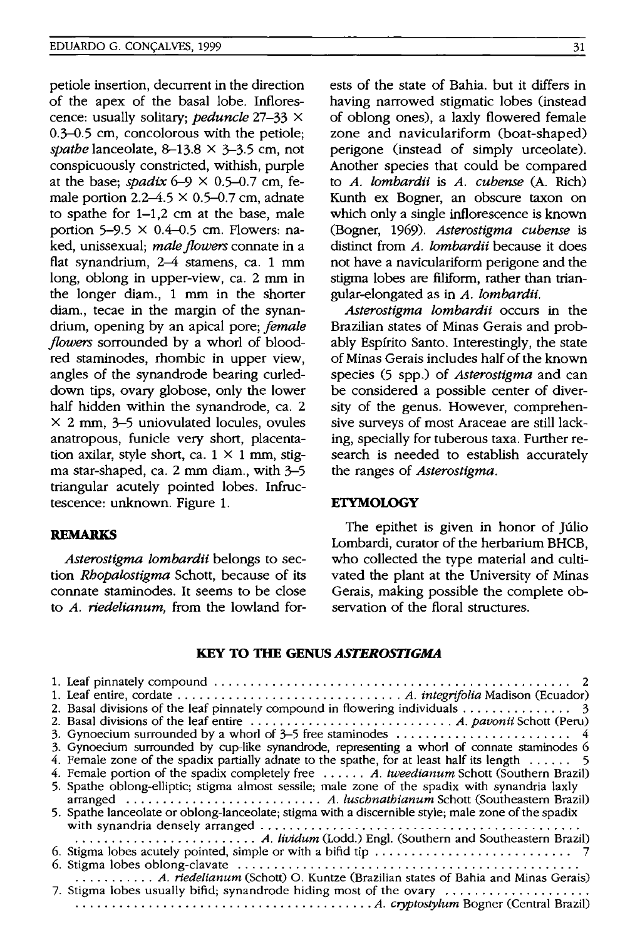petiole insertion, decurrent in the direction of the apex of the basal lobe. Inflorescence: usually solitary; *peduncle* 27-33 X 0.3-0.5 cm, concolorous with the petiole; *spathe* lanceolate, 8-13.8 X 3-3.5 cm, not conspicuously constricted, withish, purple at the base; *spadix*  $6-9 \times 0.5-0.7$  cm, female portion  $2.2 - 4.5 \times 0.5 - 0.7$  cm, adnate to spathe for 1-1,2 cm at the base, male portion 5-9.5  $\times$  0.4-0.5 cm. Flowers: naked, unissexual; *male flowers* connate in a flat synandrium, 2–4 stamens, ca. 1 mm long, oblong in upper-view, ca. 2 mm in the longer diam., 1 mm in the shorter diam., tecae in the margin of the synandrium, opening by an apical pore; *female flowers* sorrounded by a whorl of bloodred starninodes, rhombic in upper view, angles of the synandrode bearing curleddown tips, ovary globose, only the lower half hidden within the synandrode, ca. 2 X 2 mm, 3-5 uniovulated locules, ovules anatropous, funicle very short, placentation axilar, style short, ca.  $1 \times 1$  mm, stigma star-shaped, ca. 2 mm diam., with 3-5 triangular acutely pointed lobes. Infructescence: unknown. Figure 1.

## **REMARKS**

*Asterostigma lombardii* belongs to section *Rhopalostigma* Schott, because of its connate staminodes. It seems to be close to *A. riedelianum,* from the lowland forests of the state of Bahia. but it differs in having narrowed stigmatic lobes (instead of oblong ones), a laxly flowered female zone and naviculariform (boat-shaped) perigone (instead of simply urceolate). Another species that could be compared to *A. lombardii* is *A. cubense* (A. Rich) Kunth ex Bogner, an obscure taxon on which only a single inflorescence is known (Bogner, 1969). *Asterostigma cubense* is distinct from *A. lombardii* because it does not have a naviculariform perigone and the stigma lobes are filiform, rather than triangular-elongated as in *A. lombardii.* 

*Asterostigma lombardii* occurs in the Brazilian states of Minas Gerais and probably Espfrito Santo. Interestingly, the state of Minas Gerais includes half of the known species (5 spp.) of *Asterostigma* and can be considered a possible center of diversity of the genus. However, comprehensive surveys of most Araceae are still lacking, specially for tuberous taxa. Further research is needed to establish accurately the ranges of *Asterostigma.* 

#### **ETYMOLOGY**

The epithet is given in honor of Júlio Lombardi, curator of the herbarium BHCB, who collected the type material and cultivated the plant at the University of Minas Gerais, making possible the complete observation of the floral structures.

#### **KEY TO TIlE GENUS** *ASTEROSTIGMA*

| 2. Basal divisions of the leaf pinnately compound in flowering individuals $\dots \dots \dots \dots$ |
|------------------------------------------------------------------------------------------------------|
|                                                                                                      |
|                                                                                                      |
| 3. Gynoecium surrounded by cup-like synandrode, representing a whorl of connate staminodes 6         |
| 4. Female zone of the spadix partially adnate to the spathe, for at least half its length $\dots$ .  |
| 4. Female portion of the spadix completely free  A. tweedianum Schott (Southern Brazil)              |
| 5. Spathe oblong-elliptic; stigma almost sessile; male zone of the spadix with synandria laxly       |
|                                                                                                      |
| 5. Spathe lanceolate or oblong-lanceolate; stigma with a discernible style; male zone of the spadix  |
|                                                                                                      |
|                                                                                                      |
|                                                                                                      |
|                                                                                                      |
| A. <i>riedelianum</i> (Schott) O. Kuntze (Brazilian states of Bahia and Minas Gerais)                |
| 7. Stigma lobes usually bifid; synandrode hiding most of the ovary                                   |
|                                                                                                      |
|                                                                                                      |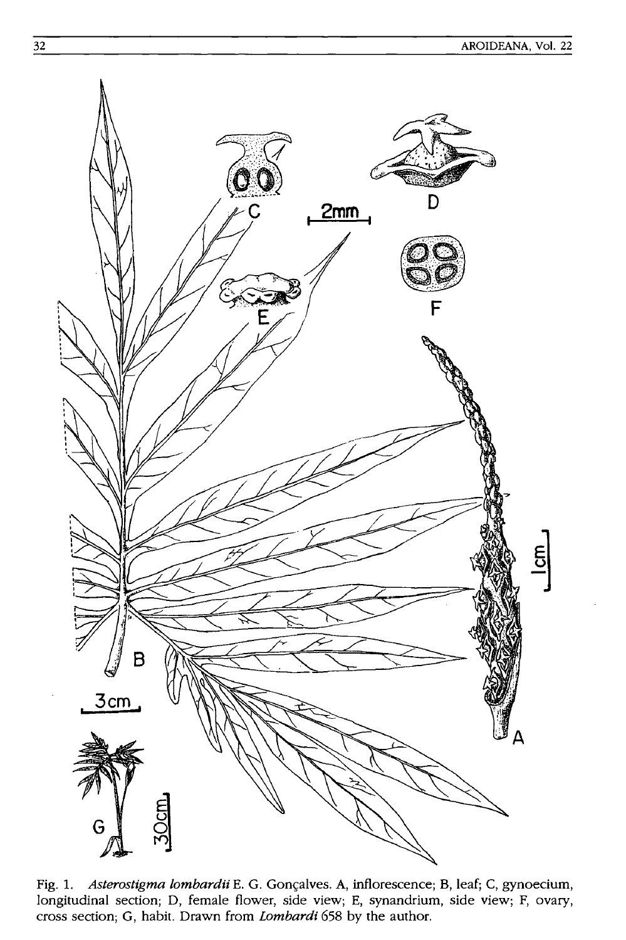

Fig. 1. Asterostigma lombardii E. G. Gonçalves. A, inflorescence; B, leaf; C, gynoecium, longitudinal section; D, female flower, side view; E, synandrium, side view; F, ovary, cross section; G, habit. Drawn from *Lombardi* 658 by the author.